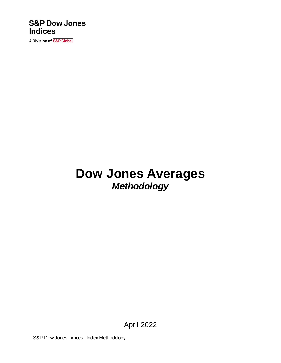### **S&P Dow Jones Indices**

A Division of S&P Global

# **Dow Jones Averages** *Methodology*

April 2022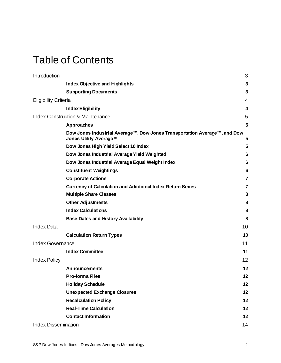# Table of Contents

| Introduction                |                                                                                                     | 3               |
|-----------------------------|-----------------------------------------------------------------------------------------------------|-----------------|
|                             | Index Objective and Highlights                                                                      | 3               |
|                             | <b>Supporting Documents</b>                                                                         | 3               |
| <b>Eligibility Criteria</b> |                                                                                                     | 4               |
|                             | <b>Index Eligibility</b>                                                                            | 4               |
|                             | <b>Index Construction &amp; Maintenance</b>                                                         | 5               |
|                             | <b>Approaches</b>                                                                                   | 5               |
|                             | Dow Jones Industrial Average™, Dow Jones Transportation Average™, and Dow<br>Jones Utility Average™ | 5               |
|                             | Dow Jones High Yield Select 10 Index                                                                | 5               |
|                             | Dow Jones Industrial Average Yield Weighted                                                         | 6               |
|                             | Dow Jones Industrial Average Equal Weight Index                                                     | 6               |
|                             | <b>Constituent Weightings</b>                                                                       | $6\phantom{1}6$ |
|                             | <b>Corporate Actions</b>                                                                            | $\overline{7}$  |
|                             | <b>Currency of Calculation and Additional Index Return Series</b>                                   | 7               |
|                             | <b>Multiple Share Classes</b>                                                                       | 8               |
|                             | <b>Other Adjustments</b>                                                                            | 8               |
|                             | <b>Index Calculations</b>                                                                           | 8               |
|                             | <b>Base Dates and History Availability</b>                                                          | 8               |
| <b>Index Data</b>           |                                                                                                     | 10              |
|                             | <b>Calculation Return Types</b>                                                                     | 10              |
| Index Governance            |                                                                                                     | 11              |
|                             | <b>Index Committee</b>                                                                              | 11              |
| <b>Index Policy</b>         |                                                                                                     | 12              |
|                             | <b>Announcements</b>                                                                                | 12              |
|                             | <b>Pro-forma Files</b>                                                                              | 12              |
|                             | <b>Holiday Schedule</b>                                                                             | 12              |
|                             | <b>Unexpected Exchange Closures</b>                                                                 | 12              |
|                             | <b>Recalculation Policy</b>                                                                         | 12              |
|                             | <b>Real-Time Calculation</b>                                                                        | 12              |
|                             | <b>Contact Information</b>                                                                          | 12              |
| <b>Index Dissemination</b>  |                                                                                                     | 14              |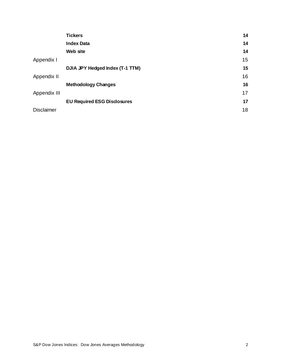|                   | <b>Tickers</b>                     | 14 |
|-------------------|------------------------------------|----|
|                   | <b>Index Data</b>                  | 14 |
|                   | Web site                           | 14 |
| Appendix I        |                                    | 15 |
|                   | DJIA JPY Hedged Index (T-1 TTM)    | 15 |
| Appendix II       |                                    | 16 |
|                   | <b>Methodology Changes</b>         | 16 |
| Appendix III      |                                    | 17 |
|                   | <b>EU Required ESG Disclosures</b> | 17 |
| <b>Disclaimer</b> |                                    | 18 |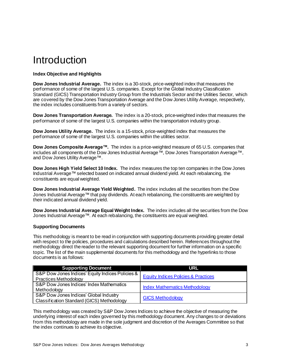# <span id="page-3-0"></span>Introduction

### <span id="page-3-1"></span>**Index Objective and Highlights**

**Dow Jones Industrial Average.** The index is a 30-stock, price-weighted index that measures the performance of some of the largest U.S. companies. Except for the Global Industry Classification Standard (GICS) Transportation Industry Group from the Industrials Sector and the Utilities Sector, which are covered by the Dow Jones Transportation Average and the Dow Jones Utility Average, respectively, the index includes constituents from a variety of sectors.

**Dow Jones Transportation Average.** The index is a 20-stock, price-weighted index that measures the performance of some of the largest U.S. companies within the transportation industry group.

**Dow Jones Utility Average.** The index is a 15-stock, price-weighted index that measures the performance of some of the largest U.S. companies within the utilities sector.

**Dow Jones Composite Average™.** The index is a price-weighted measure of 65 U.S. companies that includes all components of the Dow Jones Industrial Average™, Dow Jones Transportation Average™, and Dow Jones Utility Average™.

**Dow Jones High Yield Select 10 Index.** The index measures the top ten companies in the Dow Jones Industrial Average™selected based on indicated annual dividend yield. At each rebalancing, the constituents are equal weighted.

**Dow Jones Industrial Average Yield Weighted.** The index includes all the securities from the Dow Jones Industrial Average™ that pay dividends. At each rebalancing, the constituents are weighted by their indicated annual dividend yield.

**Dow Jones Industrial Average Equal Weight Index.** The index includes all the securities from the Dow Jones Industrial Average™. At each rebalancing, the constituents are equal weighted.

#### <span id="page-3-2"></span>**Supporting Documents**

This methodology is meant to be read in conjunction with supporting documents providing greater detail with respect to the policies, procedures and calculations described herein. References throughout the methodology direct the reader to the relevant supporting document for further information on a specific topic. The list of the main supplemental documents for this methodology and the hyperlinks to those documents is as follows:

| <b>Supporting Document</b>                       | URL                                            |  |
|--------------------------------------------------|------------------------------------------------|--|
| S&P Dow Jones Indices' Equity Indices Policies & |                                                |  |
| <b>Practices Methodology</b>                     | <b>Equity Indices Policies &amp; Practices</b> |  |
| S&P Dow Jones Indices' Index Mathematics         | <b>Index Mathematics Methodology</b>           |  |
| Methodology                                      |                                                |  |
| S&P Dow Jones Indices' Global Industry           | <b>GICS Methodology</b>                        |  |
| Classification Standard (GICS) Methodology       |                                                |  |

This methodology was created by S&P Dow Jones Indices to achieve the objective of measuring the underlying interest of each index governed by this methodology document. Any changes to or deviations from this methodology are made in the sole judgment and discretion of the Averages Committee so that the index continues to achieve its objective.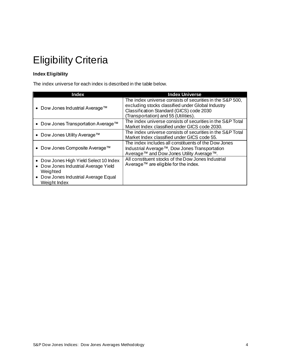# <span id="page-4-0"></span>Eligibility Criteria

### <span id="page-4-1"></span>**Index Eligibility**

The index universe for each index is described in the table below.

| <b>Index</b>                                                                                                                                   | <b>Index Universe</b>                                                                                                                                                                              |
|------------------------------------------------------------------------------------------------------------------------------------------------|----------------------------------------------------------------------------------------------------------------------------------------------------------------------------------------------------|
| Dow Jones Industrial Average™                                                                                                                  | The index universe consists of securities in the S&P 500,<br>excluding stocks classified under Global Industry<br>Classification Standard (GICS) code 2030<br>(Transportation) and 55 (Utilities). |
| • Dow Jones Transportation Average™                                                                                                            | The index universe consists of securities in the S&P Total<br>Market Index classified under GICS code 2030.                                                                                        |
| • Dow Jones Utility Average™                                                                                                                   | The index universe consists of securities in the S&P Total<br>Market Index classified under GICS code 55.                                                                                          |
| Dow Jones Composite Average™                                                                                                                   | The index includes all constituents of the Dow Jones<br>Industrial Average™, Dow Jones Transportation<br>Average™ and Dow Jones Utility Average™.                                                  |
| • Dow Jones High Yield Select 10 Index<br>Dow Jones Industrial Average Yield<br>Weighted<br>Dow Jones Industrial Average Equal<br>Weight Index | All constituent stocks of the Dow Jones Industrial<br>Average™ are eligible for the index.                                                                                                         |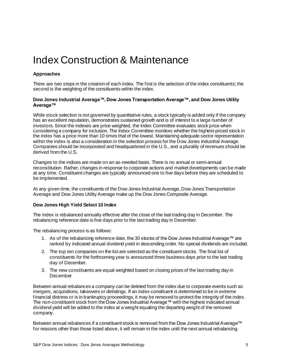### <span id="page-5-0"></span>Index Construction& Maintenance

### <span id="page-5-1"></span>**Approaches**

There are two steps in the creation of each index. The first is the selection of the index constituents; the second is the weighting of the constituents within the index.

#### <span id="page-5-2"></span>**Dow Jones Industrial Average™, Dow Jones Transportation Average™, and Dow Jones Utility Average™**

While stock selection is not governed by quantitative rules, a stock typically is added only if the company has an excellent reputation, demonstrates sustained growth and is of interest to a large number of investors. Since the indexes are price weighted, the Index Committee evaluates stock price when considering a company for inclusion. The Index Committee monitors whether the highest-priced stock in the index has a price more than 10 times that of the lowest. Maintaining adequate sector representation within the index is also a consideration in the selection process for the Dow Jones Industrial Average. Companies should be incorporated and headquartered in the U.S., and a plurality of revenues should be derived from the U.S.

Changes to the indices are made on an as-needed basis. There is no annual or semi-annual reconstitution. Rather, changes in response to corporate actions and market developments can be made at any time. Constituent changes are typically announced one to five days before they are scheduled to be implemented.

At any given time, the constituents of the Dow Jones Industrial Average, Dow Jones Transportation Average and Dow Jones Utility Average make up the Dow Jones Composite Average.

#### <span id="page-5-3"></span>**Dow Jones High Yield Select 10 Index**

The index is rebalanced annually effective after the close of the last trading day in December. The rebalancing reference date is five days prior to the last trading day in December.

The rebalancing process is as follows:

- 1. As of the rebalancing reference date, the 30 stocks of the Dow Jones Industrial Average™ are ranked by indicated annual dividend yield in descending order. No special dividends are included.
- 2. The top ten companies on the list are selected as the constituent stocks. The final list of constituents for the forthcoming year is announced three business days prior to the last trading day of December.
- 3. The new constituents are equal weighted based on closing prices of the last trading day in December

Between annual rebalances a company can be deleted from the index due to corporate events such as mergers, acquisitions, takeovers or delistings. If an index constituent is determined to be in extreme financial distress or is in bankruptcy proceedings, it may be removed to protect the integrity of the index. The non-constituent stock from the Dow Jones Industrial Average™ with the highest indicated annual dividend yield will be added to the index at a weight equaling the departing weight of the removed company.

Between annual rebalances if a constituent stock is removed from the Dow Jones Industrial Average™ for reasons other than those listed above, it will remain in the index until the next annual rebalancing.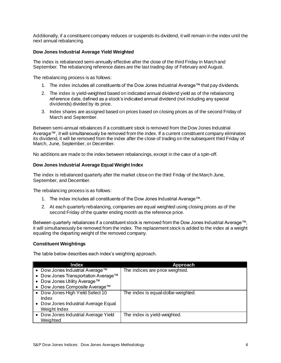Additionally, if a constituent company reduces or suspends its dividend, it will remain in the index until the next annual rebalancing.

#### <span id="page-6-0"></span>**Dow Jones Industrial Average Yield Weighted**

The index is rebalanced semi-annually effective after the close of the third Friday in March and September. The rebalancing reference dates are the last trading day of February and August.

The rebalancing process is as follows:

- 1. The index includes all constituents of the Dow Jones Industrial Average™ that pay dividends.
- 2. The index is yield-weighted based on indicated annual dividend yield as of the rebalancing reference date, defined as a stock's indicated annual dividend (not including any special dividends) divided by its price.
- 3. Index shares are assigned based on prices based on closing prices as of the second Friday of March and September.

Between semi-annual rebalances if a constituent stock is removed from the Dow Jones Industrial Average™, it will simultaneously be removed from the index. If a current constituent company eliminates its dividend, it will be removed from the index after the close of trading on the subsequent third Friday of March, June, September, or December.

<span id="page-6-1"></span>No additions are made to the index between rebalancings, except in the case of a spin-off.

#### **Dow Jones Industrial Average Equal Weight Index**

The index is rebalanced quarterly after the market close on the third Friday of the March June, September, and December.

The rebalancing process is as follows:

- 1. The index includes all constituents of the Dow Jones Industrial Average™.
- 2. At each quarterly rebalancing, companies are equal weighted using closing prices as of the second Friday of the quarter ending month as the reference price.

Between quarterly rebalances if a constituent stock is removed from the Dow Jones Industrial Average™, it will simultaneously be removed from the index. The replacement stock is added to the index at a weight equaling the departing weight of the removed company.

#### <span id="page-6-2"></span>**Constituent Weightings**

The table below describes each index's weighting approach.

| <b>Index</b>                         | Approach                            |
|--------------------------------------|-------------------------------------|
| • Dow Jones Industrial Average™      | The indices are price weighted.     |
| • Dow Jones Transportation Average™  |                                     |
| ● Dow Jones Utility Average™         |                                     |
| • Dow Jones Composite Average™       |                                     |
| • Dow Jones High Yield Select 10     | The index is equal-dollar-weighted. |
| Index                                |                                     |
| • Dow Jones Industrial Average Equal |                                     |
| Weight Index                         |                                     |
| • Dow Jones Industrial Average Yield | The index is yield-weighted.        |
| Weighted                             |                                     |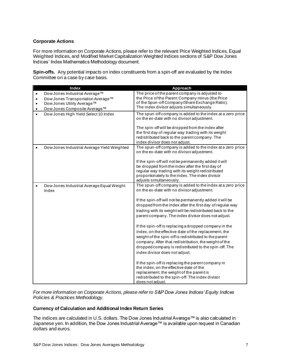### <span id="page-7-0"></span>**Corporate Actions**

For more information on Corporate Actions, please refer to the relevant Price Weighted Indices, Equal Weighted Indices, and Modified Market Capitalization Weighted Indices sections of S&P Dow Jones Indices' Index Mathematics Methodology document*.*

**Spin-offs.** Any potential impacts on index constituents from a spin-off are evaluated by the Index Committee on a case by case basis.

|           | <b>Index</b>                                       | Approach                                                                                                                                                                                                                                                                                                                   |
|-----------|----------------------------------------------------|----------------------------------------------------------------------------------------------------------------------------------------------------------------------------------------------------------------------------------------------------------------------------------------------------------------------------|
| $\bullet$ | Dow Jones Industrial Average™                      | The price of the parent company is adjusted to                                                                                                                                                                                                                                                                             |
| $\bullet$ | Dow Jones Transportation Average™                  | the Price of the Parent Company minus (the Price                                                                                                                                                                                                                                                                           |
| $\bullet$ | Dow Jones Utility Average™                         | of the Spun-off Company/Share Exchange Ratio).                                                                                                                                                                                                                                                                             |
|           | Dow Jones Composite Average™                       | The index divisor adjusts simultaneously.                                                                                                                                                                                                                                                                                  |
|           | Dow Jones High Yield Select 10 Index               | The spun-off company is added to the index at a zero price<br>on the ex-date with no divisor adjustment.                                                                                                                                                                                                                   |
|           |                                                    | The spin-off will be dropped from the index after<br>the first day of regular way trading with its weight<br>redistributed back to the parent company. The<br>index divisor does not adjust.                                                                                                                               |
|           | Dow Jones Industrial Average Yield Weighted        | The spun-off company is added to the index at a zero price<br>on the ex-date with no divisor adjustment.                                                                                                                                                                                                                   |
|           |                                                    | If the spin-off will not be permanently added it will<br>be dropped from the index after the first day of<br>regular way trading with its weight redistributed<br>proportionately to the index. The index divisor<br>adjusts simultaneously.                                                                               |
| $\bullet$ | Dow Jones Industrial Average Equal Weight<br>Index | The spun-off company is added to the index at a zero price<br>on the ex-date with no divisor adjustment.                                                                                                                                                                                                                   |
|           |                                                    | If the spin-off will not be permanently added it will be                                                                                                                                                                                                                                                                   |
|           |                                                    | dropped from the index after the first day of regular way                                                                                                                                                                                                                                                                  |
|           |                                                    | trading with its weight will be redistributed back to the                                                                                                                                                                                                                                                                  |
|           |                                                    | parent company. The index divisor does not adjust.                                                                                                                                                                                                                                                                         |
|           |                                                    | If the spin-off is replacing a dropped company in the<br>index, on the effective date of the replacement, the<br>weight of the spin-off is redistributed to the parent<br>company. After that redistribution, the weight of the<br>dropped company is redistributed to the spin-off. The<br>index divisor does not adjust. |
|           |                                                    | If the spin-off is replacing the parent company in<br>the index, on the effective date of the<br>replacement, the weight of the parent is<br>redistributed to the spin-off. The index divisor<br>does not adjust.                                                                                                          |

*For more information on Corporate Actions, please refer to S&P Dow Jones Indices' Equity Indices Policies & Practices Methodology.*

#### <span id="page-7-1"></span>**Currency of Calculation and Additional Index Return Series**

The indices are calculated in U.S. dollars. The Dow Jones Industrial Average™ is also calculated in Japanese yen. In addition, the Dow Jones Industrial Average™ is available upon request in Canadian dollars and euros.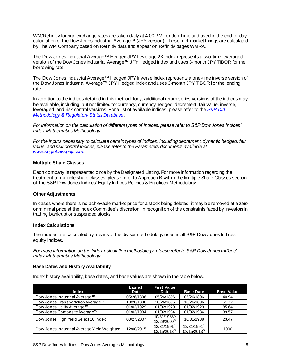WM/Refinitiv foreign exchange rates are taken daily at 4:00 PM London Time and used in the end-of-day calculation of the Dow Jones Industrial Average™ (JPY version). These mid-market fixings are calculated by The WM Company based on Refinitiv data and appear on Refinitiv pages WMRA.

The Dow Jones Industrial Average™ Hedged JPY Leverage 2X Index represents a two-time leveraged version of the Dow Jones Industrial Average™JPY Hedged Index and uses 3-month JPY TIBOR for the borrowing rate.

The Dow Jones Industrial Average™ Hedged JPY Inverse Index represents a one-time inverse version of the Dow Jones Industrial Average™JPY Hedged Index and uses 3-month JPY TIBOR for the lending rate.

In addition to the indices detailed in this methodology, additional return series versions of the indices may be available, including, but not limited to: currency, currency hedged, decrement, fair value, inverse, leveraged, and risk control versions. For a list of available indices, please refer to the *[S&P DJI](https://www.spglobal.com/spdji/en/governance/methodology-and-regulatory-status/)  [Methodology & Regulatory Status Database](https://www.spglobal.com/spdji/en/governance/methodology-and-regulatory-status/)*.

*For information on the calculation of different types of indices, please refer to S&P Dow Jones Indices' Index Mathematics Methodology.*

*For the inputs necessary to calculate certain types of indices, including decrement, dynamic hedged, fair value, and risk control indices, please refer to the Parameters documents available at [www.spglobal/spdji.com](http://www.spdji.com/).*

#### <span id="page-8-0"></span>**Multiple Share Classes**

Each company is represented once by the Designated Listing. For more information regarding the treatment of multiple share classes, please refer to Approach B within the Multiple Share Classes section of the S&P Dow Jones Indices' Equity Indices Policies & Practices Methodology.

#### <span id="page-8-1"></span>**Other Adjustments**

In cases where there is no achievable market price for a stock being deleted, it may be removed at a zero or minimal price at the Index Committee's discretion, in recognition of the constraints faced by investors in trading bankrupt or suspended stocks.

#### <span id="page-8-2"></span>**Index Calculations**

The indices are calculated by means of the divisor methodology used in all S&P Dow Jones Indices' equity indices.

*For more information on the index calculation methodology, please refer to S&P Dow Jones Indices' Index Mathematics Methodology.*

#### <span id="page-8-3"></span>**Base Dates and History Availability**

Index history availability, base dates, and base values are shown in the table below.

| <b>Index</b>                                | Launch<br>Date | <b>First Value</b><br>Date                         | <b>Base Date</b>                                   | <b>Base Value</b> |
|---------------------------------------------|----------------|----------------------------------------------------|----------------------------------------------------|-------------------|
| Dow Jones Industrial Average™               | 05/26/1896     | 05/26/1896                                         | 05/26/1896                                         | 40.94             |
| Dow Jones Transportation Average™           | 10/26/1896     | 10/26/1896                                         | 10/26/1896                                         | 51.72             |
| Dow Jones Utility Average™                  | 01/02/1929     | 01/02/1929                                         | 01/02/1929                                         | 85.64             |
| Dow Jones Composite Average™                | 01/02/1934     | 01/02/1934                                         | 01/02/1934                                         | 39.57             |
| Dow Jones High Yield Select 10 Index        | 08/27/2007     | 10/31/1988 <sup>A</sup><br>12/29/2000 <sup>B</sup> | 10/31/1988                                         | 23.47             |
| Dow Jones Industrial Average Yield Weighted | 12/08/2015     | 12/31/1991 <sup>C</sup><br>03/15/2013 <sup>D</sup> | 12/31/1991 <sup>C</sup><br>03/15/2013 <sup>D</sup> | 1000              |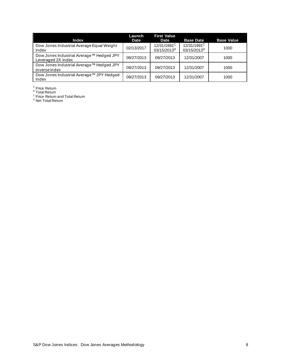| Index                                                          | Launch<br><b>Date</b> | <b>First Value</b><br>Date                         | <b>Base Date</b>                                   | <b>Base Value</b> |
|----------------------------------------------------------------|-----------------------|----------------------------------------------------|----------------------------------------------------|-------------------|
| Dow Jones Industrial Average Equal Weight<br>Index             | 02/13/2017            | 12/31/1991 <sup>C</sup><br>03/15/2013 <sup>D</sup> | 12/31/1991 <sup>C</sup><br>03/15/2013 <sup>D</sup> | 1000              |
| Dow Jones Industrial Average™ Hedged JPY<br>Leveraged 2X Index | 09/27/2013            | 09/27/2013                                         | 12/31/2007                                         | 1000              |
| Dow Jones Industrial Average™ Hedged JPY<br>Inverse Index      | 09/27/2013            | 09/27/2013                                         | 12/31/2007                                         | 1000              |
| Dow Jones Industrial Average™ JPY Hedged<br>Index              | 09/27/2013            | 09/27/2013                                         | 12/31/2007                                         | 1000              |

<sup>A</sup> Price Return<br><sup>B</sup> Total Return<br><sup>C</sup> Price Return and Total Return<br><sup>D</sup> Net Total Return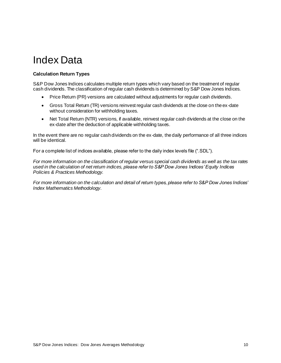# <span id="page-10-0"></span>Index Data

### <span id="page-10-1"></span>**Calculation Return Types**

S&P Dow Jones Indices calculates multiple return types which vary based on the treatment of regular cash dividends. The classification of regular cash dividends is determined by S&P Dow Jones Indices.

- Price Return (PR) versions are calculated without adjustments for regular cash dividends.
- Gross Total Return (TR) versions reinvest regular cash dividends at the close on the ex-date without consideration for withholding taxes.
- Net Total Return (NTR) versions, if available, reinvest regular cash dividends at the close on the ex-date after the deduction of applicable withholding taxes.

In the event there are no regular cash dividends on the ex-date, the daily performance of all three indices will be identical.

For a complete list of indices available, please refer to the daily index levels file (".SDL").

*For more information on the classification of regular versus special cash dividends as well as the tax rates used in the calculation of net return indices, please refer to S&P Dow Jones Indices' Equity Indices Policies & Practices Methodology.*

*For more information on the calculation and detail of return types, please refer to S&P Dow Jones Indices' Index Mathematics Methodology*.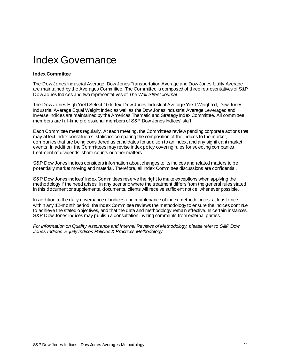# <span id="page-11-0"></span>Index Governance

#### <span id="page-11-1"></span>**Index Committee**

The Dow Jones Industrial Average, Dow Jones Transportation Average and Dow Jones Utility Average are maintained by the Averages Committee. The Committee is composed of three representatives of S&P Dow Jones Indices and two representatives of *The Wall Street Journal*.

The Dow Jones High Yield Select 10 Index, Dow Jones Industrial Average Yield Weighted, Dow Jones Industrial Average Equal Weight Index as well as the Dow Jones Industrial Average Leveraged and Inverse indices are maintained by the Americas Thematic and Strategy Index Committee. All committee members are full-time professional members of S&P Dow Jones Indices' staff.

Each Committee meets regularly. At each meeting, the Committees review pending corporate actions that may affect index constituents, statistics comparing the composition of the indices to the market, companies that are being considered as candidates for addition to an index, and any significant market events. In addition, the Committees may revise index policy covering rules for selecting companies, treatment of dividends, share counts or other matters.

S&P Dow Jones Indices considers information about changes to its indices and related matters to be potentially market moving and material. Therefore, all Index Committee discussions are confidential.

S&P Dow Jones Indices' Index Committees reserve the right to make exceptions when applying the methodology if the need arises. In any scenario where the treatment differs from the general rules stated in this document or supplemental documents, clients will receive sufficient notice, whenever possible.

In addition to the daily governance of indices and maintenance of index methodologies, at least once within any 12-month period, the Index Committee reviews the methodology to ensure the indices continue to achieve the stated objectives, and that the data and methodology remain effective. In certain instances, S&P Dow Jones Indices may publish a consultation inviting comments from external parties.

*For information on Quality Assurance and Internal Reviews of Methodology, please refer to S&P Dow Jones Indices' Equity Indices Policies & Practices Methodology*.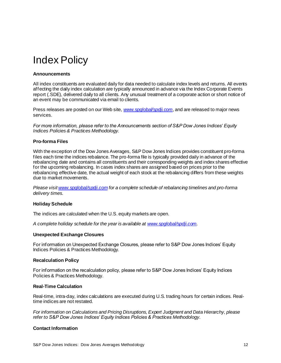# <span id="page-12-0"></span>Index Policy

#### <span id="page-12-1"></span>**Announcements**

All index constituents are evaluated daily for data needed to calculate index levels and returns. All events affecting the daily index calculation are typically announced in advance via the Index Corporate Events report (.SDE), delivered daily to all clients. Any unusual treatment of a corporate action or short notice of an event may be communicated via email to clients.

Press releases are posted on our Web site, *[www.spglobal/spdji.com](http://www.spdji.com/)*, and are released to major news services.

*For more information, please refer to the Announcements section of S&P Dow Jones Indices' Equity Indices Policies & Practices Methodology.*

#### <span id="page-12-2"></span>**Pro-forma Files**

With the exception of the Dow Jones Averages, S&P Dow Jones Indices provides constituent pro-forma files each time the indices rebalance. The pro-forma file is typically provided daily in advance of the rebalancing date and contains all constituents and their corresponding weights and index shares effective for the upcoming rebalancing. In cases index shares are assigned based on prices prior to the rebalancing effective date, the actual weight of each stock at the rebalancing differs from these weights due to market movements.

*Please visi[t www.spglobal/spdji.com](http://www.spdji.com/) for a complete schedule of rebalancing timelines and pro-forma delivery times.*

#### <span id="page-12-3"></span>**Holiday Schedule**

The indices are calculated when the U.S. equity markets are open.

<span id="page-12-4"></span>*A complete holiday schedule for the year is available a[t www.spglobal/spdji.com](http://www.spdji.com/).*

#### **Unexpected Exchange Closures**

For information on Unexpected Exchange Closures, please refer to S&P Dow Jones Indices' Equity Indices Policies & Practices Methodology*.*

#### <span id="page-12-5"></span>**Recalculation Policy**

For information on the recalculation policy, please refer to S&P Dow Jones Indices' Equity Indices Policies & Practices Methodology.

#### <span id="page-12-6"></span>**Real-Time Calculation**

Real-time, intra-day, index calculations are executed during U.S. trading hours for certain indices. Realtime indices are not restated.

*For information on Calculations and Pricing Disruptions, Expert Judgment and Data Hierarchy, please refer to S&P Dow Jones Indices' Equity Indices Policies & Practices Methodology*.

#### <span id="page-12-7"></span>**Contact Information**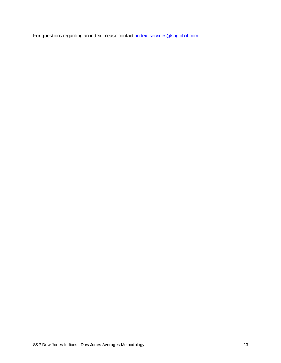For questions regarding an index, please contact[: index\\_services@spglobal.com](mailto:index_services@spglobal.com).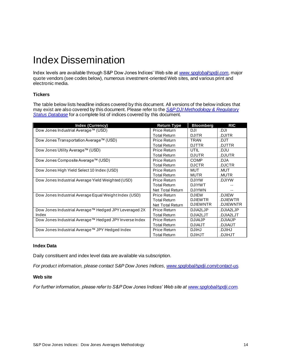# <span id="page-14-0"></span>Index Dissemination

Index levels are available through S&P Dow Jones Indices' Web site at *[www.spglobal/spdji.com](http://www.spdji.com/),* major quote vendors (see codes below), numerous investment-oriented Web sites, and various print and electronic media.

### <span id="page-14-1"></span>**Tickers**

The table below lists headline indices covered by this document. All versions of the below indices that may exist are also covered by this document. Please refer to the *[S&P DJI Methodology & Regulatory](https://www.spglobal.com/spdji/en/governance/methodology-and-regulatory-status/)  [Status Database](https://www.spglobal.com/spdji/en/governance/methodology-and-regulatory-status/)* for a complete list of indices covered by this document.

| <b>Index (Currency)</b>                                | <b>Return Type</b>      | <b>Bloomberg</b> | <b>RIC</b>    |
|--------------------------------------------------------|-------------------------|------------------|---------------|
| Dow Jones Industrial Average™ (USD)                    | <b>Price Return</b>     | DJI              | .DJI          |
|                                                        | <b>Total Return</b>     | <b>DJITR</b>     | DJITR.        |
| Dow Jones Transportation Average™ (USD)                | <b>Price Return</b>     | TRAN             | .DJT          |
|                                                        | <b>Total Return</b>     | <b>DJTTR</b>     | DJTTR.        |
| Dow Jones Utility Average™ (USD)                       | Price Return            | UTIL             | .DJU          |
|                                                        | <b>Total Return</b>     | <b>DJUTR</b>     | .DJUTR        |
| Dow Jones Composite Average™ (USD)                     | <b>Price Return</b>     | <b>COMP</b>      | .DJA          |
|                                                        | <b>Total Return</b>     | <b>DJCTR</b>     | .DJCTR        |
| Dow Jones High Yield Select 10 Index (USD)             | <b>Price Return</b>     | <b>MUT</b>       | .MUT          |
|                                                        | <b>Total Return</b>     | <b>MUTR</b>      | .MUTR         |
| Dow Jones Industrial Average Yield Weighted (USD)      | Price Return            | <b>DJIYW</b>     | <b>DJIYW</b>  |
|                                                        | <b>Total Return</b>     | <b>DJIYWT</b>    |               |
|                                                        | Net Total Return        | <b>DJIYWN</b>    |               |
| Dow Jones Industrial Average Equal Weight Index (USD)  | Price Return            | <b>DJIEW</b>     | .DJIEW        |
|                                                        | <b>Total Return</b>     | <b>DJIEWTR</b>   | .DJIEWTR      |
|                                                        | <b>Net Total Return</b> | <b>DJIEWNTR</b>  | .DJIEWNTR     |
| Dow Jones Industrial Average™ Hedged JPY Leveraged 2X  | <b>Price Return</b>     | DJIA2LJP         | .DJIA2LJP     |
| Index                                                  | <b>Total Return</b>     | DJIA2LJT         | DJIA2LJT.     |
| Dow Jones Industrial Average™ Hedged JPY Inverse Index | Price Return            | <b>DJIAIJP</b>   | DJIAIJP.      |
|                                                        | <b>Total Return</b>     | <b>DJIAIJT</b>   | TUAIU.        |
| Dow Jones Industrial Average™ JPY Hedged Index         | <b>Price Return</b>     | <b>DJIHJ</b>     | <b>LHILO.</b> |
|                                                        | <b>Total Return</b>     | <b>DJIHJT</b>    | .DJIHJT       |

#### <span id="page-14-2"></span>**Index Data**

Daily constituent and index level data are available via subscription.

<span id="page-14-3"></span>*For product information, please contact S&P Dow Jones Indices[, www.spglobal/spdji.com/contact-us](http://www.spdji.com/contact-us).*

#### **Web site**

*For further information, please refer to S&P Dow Jones Indices' Web site a[t www.spglobal/spdji.com](http://www.spdji.com/).*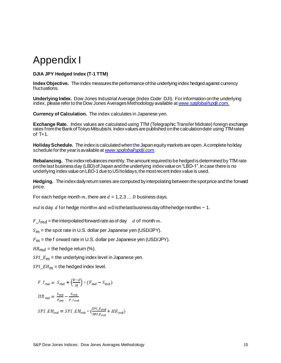# <span id="page-15-0"></span>Appendix I

#### <span id="page-15-1"></span>**DJIA JPY Hedged Index (T-1 TTM)**

**Index Objective.** The index measures the performance of the underlying index hedged against currency fluctuations.

**Underlying Index.** Dow Jones Industrial Average (Index Code: DJI). Forinformation on the underlying index, please refer to the Dow Jones Averages Methodology available at *[www.spglobal/spdji.com](http://www.spdji.com./).* 

**Currency of Calculation.** The index calculates in Japanese yen.

**Exchange Rate.** Index values are calculated using TTM (Telegraphic Transfer Midrate) foreign exchange rates from the Bank of Tokyo Mitsubishi. Index values are published on the calculation date using TTM rates of T+1.

**HolidaySchedule.** Theindexiscalculated when the Japan equitymarketsare open. Acomplete holiday schedule forthe yearisavailable at *[www.spglobal/spdji.com](http://www.spdji.com/)*.

**Rebalancing.** The indexrebalancesmonthly.The amount required tobehedged isdetermined by TTM rate on the last business day (LBD) of Japan and the underlying index value on "LBD-1". In case there is no underlying index value on LBD-1 due to US holidays, the most recent index value is used.

**Hedging.** The index daily return series are computed by interpolating between the spot price and the forward price.

For each hedge month m, there are  $d = 1,2,3...$  D business days.

md is day d for hedge month m and m0 is the last business day of the hedge month  $-1$ .

 $F\_{1md}$  = the interpolated forward rate as of day  $d$  of month m.

 $S_m$  = the spot rate in U.S. dollar per Japanese yen (USD/JPY).

 $F_m$  = the f orward rate in U.S. dollar per Japanese yen (USD/JPY).

 $HR_{md}$  = the hedge return (%).

SPI  $E_m$  = the underlying index level in Japanese yen.

 $SPI\_EH_m$  = the hedged index level.

$$
F_{-}I_{md} = S_{md} + \left(\frac{D-d}{D}\right) * \left(F_{md} - S_{md}\right)
$$

$$
HR_{md} = \frac{S_{m0}}{F_{m0}} - \frac{S_{m0}}{F_{Jmd}}
$$

$$
SPI\_EH_{md} = SPI\_EH_{m0} * (\frac{Sp_{I\_Emd}}{Sp_{I\_Em0}} + HR_{md})
$$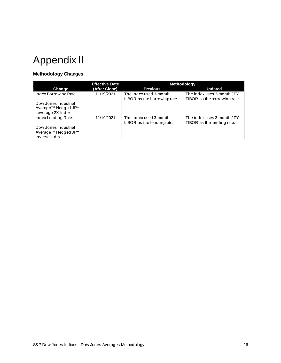# <span id="page-16-0"></span>Appendix II

### <span id="page-16-1"></span>**Methodology Changes**

| <b>Effective Date</b>                                            |               |                                                        | <b>Methodology</b>                                         |
|------------------------------------------------------------------|---------------|--------------------------------------------------------|------------------------------------------------------------|
| <b>Change</b>                                                    | (After Close) | <b>Previous</b>                                        | <b>Updated</b>                                             |
| Index Borrowing Rate:                                            | 11/19/2021    | The index used 3-month<br>LIBOR as the borrowing rate. | The index uses 3-month JPY<br>TIBOR as the borrowing rate. |
| Dow Jones Industrial<br>Average™ Hedged JPY<br>Leverage 2X Index |               |                                                        |                                                            |
| Index Lending Rate:                                              | 11/19/2021    | The index used 3-month<br>LIBOR as the lending rate.   | The index uses 3-month JPY<br>TIBOR as the lending rate.   |
| Dow Jones Industrial<br>Average™ Hedged JPY<br>Inverse Index     |               |                                                        |                                                            |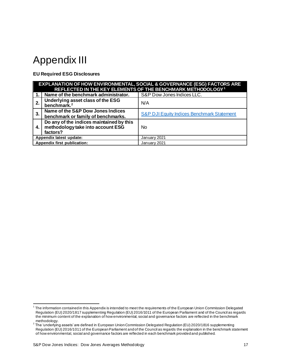# <span id="page-17-0"></span>Appendix III

### <span id="page-17-1"></span>**EU Required ESG Disclosures**

|                             | <b>EXPLANATION OF HOW ENVIRONMENTAL, SOCIAL &amp; GOVERNANCE (ESG) FACTORS ARE</b><br>REFLECTED IN THE KEY ELEMENTS OF THE BENCHMARK METHODOLOGY <sup>1</sup> |                                                       |  |  |
|-----------------------------|---------------------------------------------------------------------------------------------------------------------------------------------------------------|-------------------------------------------------------|--|--|
|                             | Name of the benchmark administrator.                                                                                                                          | S&P Dow Jones Indices LLC.                            |  |  |
| 2.                          | Underlying asset class of the ESG<br>benchmark. $^2$                                                                                                          | N/A                                                   |  |  |
| 3.                          | Name of the S&P Dow Jones Indices<br>benchmark or family of benchmarks.                                                                                       | <b>S&amp;P DJI Equity Indices Benchmark Statement</b> |  |  |
| 4.                          | Do any of the indices maintained by this<br>methodology take into account ESG<br>factors?                                                                     | No                                                    |  |  |
| Appendix latest update:     |                                                                                                                                                               | January 2021                                          |  |  |
| Appendix first publication: |                                                                                                                                                               | January 2021                                          |  |  |

<sup>&</sup>lt;sup>1</sup> The information contained in this Appendix is intended to meet the requirements of the European Union Commission Delegated Regulation (EU) 2020/1817 supplementing Regulation (EU) 2016/1011 of the European Parliament and of the Council as regards the minimum content of the explanation of how environmental, social and governance factors are reflected in the benchmark methodology.

 $^2$  The 'underlying assets' are defined in European Union Commission Delegated Regulation (EU) 2020/1816 supplementing Regulation (EU) 2016/1011 of the European Parliament and of the Council as regards the explanation in the benchmark statement of how environmental, social and governance factors are reflected in each benchmark provided and published.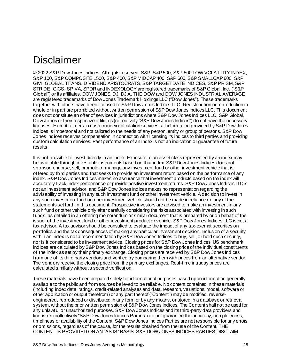### <span id="page-18-0"></span>Disclaimer

© 2022 S&P Dow Jones Indices. All rights reserved. S&P, S&P 500, S&P 500 LOW VOLATILITY INDEX, S&P 100, S&P COMPOSITE 1500, S&P 400, S&P MIDCAP 400, S&P 600, S&P SMALLCAP 600, S&P GIVI, GLOBAL TITANS, DIVIDEND ARISTOCRATS, S&P TARGET DATE INDICES, S&P PRISM, S&P STRIDE, GICS, SPIVA, SPDR and INDEXOLOGY are registered trademarks of S&P Global, Inc. ("S&P Global") or its affiliates. DOW JONES, DJ, DJIA, THE DOW and DOW JONES INDUSTRIAL AVERAGE are registered trademarks of Dow Jones Trademark Holdings LLC ("Dow Jones"). These trademarks together with others have been licensed to S&P Dow Jones Indices LLC. Redistribution or reproduction in whole or in part are prohibited without written permission of S&P Dow Jones Indices LLC. This document does not constitute an offer of services in jurisdictions where S&P Dow Jones Indices LLC, S&P Global, Dow Jones or their respective affiliates (collectively "S&P Dow Jones Indices") do not have the necessary licenses. Except for certain custom index calculation services, all information provided by S&P Dow Jones Indices is impersonal and not tailored to the needs of any person, entity or group of persons. S&P Dow Jones Indices receives compensation in connection with licensing its indices to third parties and providing custom calculation services. Past performance of an index is not an indication or guarantee of future results.

It is not possible to invest directly in an index. Exposure to an asset class represented by an index may be available through investable instruments based on that index. S&P Dow Jones Indices does not sponsor, endorse, sell, promote or manage any investment fund or other investment vehicle that is offered by third parties and that seeks to provide an investment return based on the performance of any index. S&P Dow Jones Indices makes no assurance that investment products based on the index will accurately track index performance or provide positive investment returns. S&P Dow Jones Indices LLC is not an investment advisor, and S&P Dow Jones Indices makes no representation regarding the advisability of investing in any such investment fund or other investment vehicle. A decision to invest in any such investment fund or other investment vehicle should not be made in reliance on any of the statements set forth in this document. Prospective investors are advised to make an investment in any such fund or other vehicle only after carefully considering the risks associated with investing in such funds, as detailed in an offering memorandum or similar document that is prepared by or on behalf of the issuer of the investment fund or other investment product or vehicle. S&P Dow Jones Indices LLC is not a tax advisor. A tax advisor should be consulted to evaluate the impact of any tax-exempt securities on portfolios and the tax consequences of making any particular investment decision. Inclusion of a security within an index is not a recommendation by S&P Dow Jones Indices to buy, sell, or hold such security, nor is it considered to be investment advice. Closing prices for S&P Dow Jones Indices' US benchmark indices are calculated by S&P Dow Jones Indices based on the closing price of the individual constituents of the index as set by their primary exchange. Closing prices are received by S&P Dow Jones Indices from one of its third party vendors and verified by comparing them with prices from an alternative vendor. The vendors receive the closing price from the primary exchanges. Real-time intraday prices are calculated similarly without a second verification.

These materials have been prepared solely for informational purposes based upon information generally available to the public and from sources believed to be reliable. No content contained in these materials (including index data, ratings, credit-related analyses and data, research, valuations, model, software or other application or output therefrom) or any part thereof ("Content") may be modified, reverseengineered, reproduced or distributed in any form or by any means, or stored in a database or retrieval system, without the prior written permission of S&P Dow Jones Indices. The Content shall not be used for any unlawful or unauthorized purposes. S&P Dow Jones Indices and its third-party data providers and licensors (collectively "S&P Dow Jones Indices Parties") do not guarantee the accuracy, completeness, timeliness or availability of the Content. S&P Dow Jones Indices Parties are not responsible for any errors or omissions, regardless of the cause, for the results obtained from the use of the Content. THE CONTENT IS PROVIDED ON AN "AS IS" BASIS. S&P DOW JONES INDICES PARTIES DISCLAIM